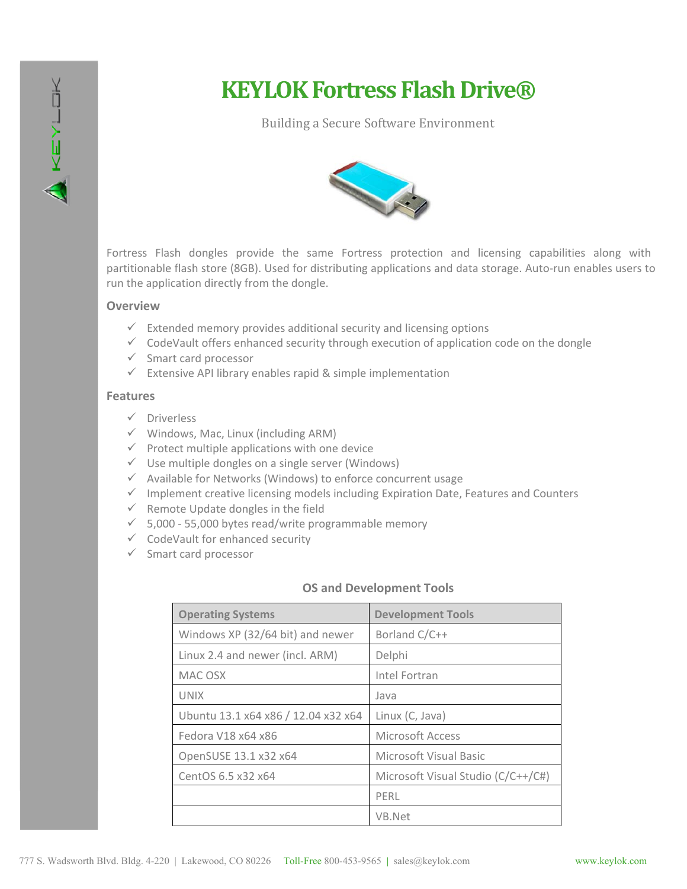

# **KEYLOK Fortress Flash Drive®**

## Building a Secure Software Environment



Fortress Flash dongles provide the same Fortress protection and licensing capabilities along with partitionable flash store (8GB). Used for distributing applications and data storage. Auto-run enables users to run the application directly from the dongle.

### **Overview**

- $\checkmark$  Extended memory provides additional security and licensing options
- $\checkmark$  CodeVault offers enhanced security through execution of application code on the dongle
- $\checkmark$  Smart card processor
- $\checkmark$  Extensive API library enables rapid & simple implementation

#### **Features**

- $\checkmark$  Driverless
- $\checkmark$  Windows, Mac, Linux (including ARM)
- $\checkmark$  Protect multiple applications with one device
- $\checkmark$  Use multiple dongles on a single server (Windows)
- $\checkmark$  Available for Networks (Windows) to enforce concurrent usage
- $\checkmark$  Implement creative licensing models including Expiration Date, Features and Counters
- $\checkmark$  Remote Update dongles in the field
- $\checkmark$  5,000 55,000 bytes read/write programmable memory
- $\checkmark$  CodeVault for enhanced security
- $\checkmark$  Smart card processor

#### **OS and Development Tools**

| <b>Operating Systems</b>            | <b>Development Tools</b>           |
|-------------------------------------|------------------------------------|
| Windows XP (32/64 bit) and newer    | Borland C/C++                      |
| Linux 2.4 and newer (incl. ARM)     | Delphi                             |
| MAC OSX                             | Intel Fortran                      |
| <b>UNIX</b>                         | Java                               |
| Ubuntu 13.1 x64 x86 / 12.04 x32 x64 | Linux (C, Java)                    |
| Fedora V18 x64 x86                  | Microsoft Access                   |
| OpenSUSE 13.1 x32 x64               | <b>Microsoft Visual Basic</b>      |
| CentOS 6.5 x32 x64                  | Microsoft Visual Studio (C/C++/C#) |
|                                     | PFRL                               |
|                                     | VB.Net                             |